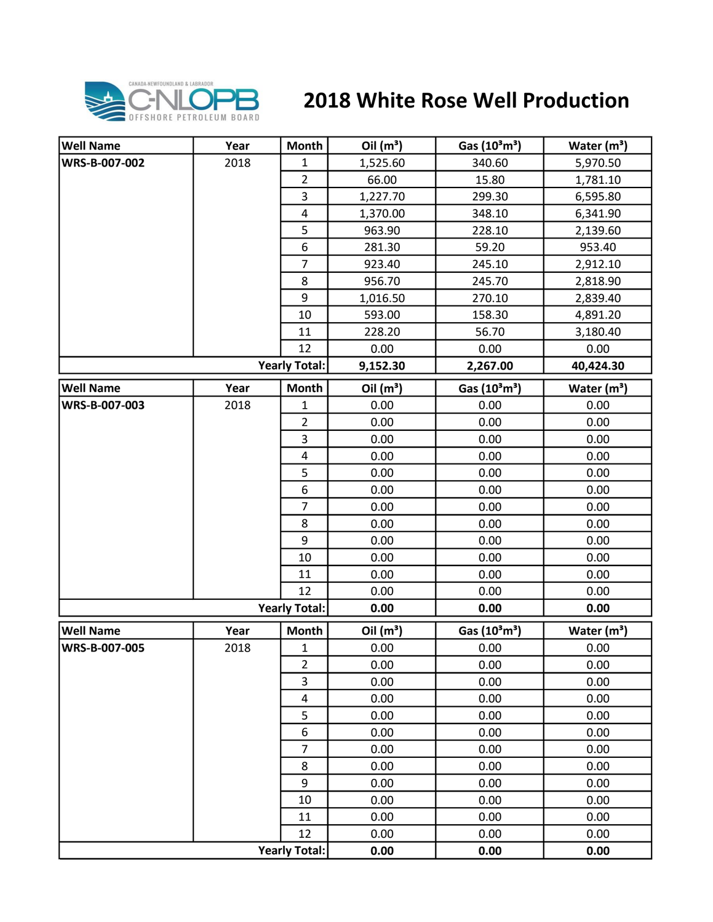

## **2018 White Rose Well Production**

| <b>Well Name</b> | Year | <b>Month</b>            | Oil $(m^3)$ | Gas $(10^3 \text{m}^3)$ | Water $(m^3)$ |
|------------------|------|-------------------------|-------------|-------------------------|---------------|
| WRS-B-007-002    | 2018 | 1                       | 1,525.60    | 340.60                  | 5,970.50      |
|                  |      | $\overline{2}$          | 66.00       | 15.80                   | 1,781.10      |
|                  |      | 3                       | 1,227.70    | 299.30                  | 6,595.80      |
|                  |      | $\overline{\mathbf{4}}$ | 1,370.00    | 348.10                  | 6,341.90      |
|                  |      | 5                       | 963.90      | 228.10                  | 2,139.60      |
|                  |      | 6                       | 281.30      | 59.20                   | 953.40        |
|                  |      | $\overline{7}$          | 923.40      | 245.10                  | 2,912.10      |
|                  |      | 8                       | 956.70      | 245.70                  | 2,818.90      |
|                  |      | 9                       | 1,016.50    | 270.10                  | 2,839.40      |
|                  |      | 10                      | 593.00      | 158.30                  | 4,891.20      |
|                  |      | 11                      | 228.20      | 56.70                   | 3,180.40      |
|                  |      | 12                      | 0.00        | 0.00                    | 0.00          |
|                  |      | <b>Yearly Total:</b>    | 9,152.30    | 2,267.00                | 40,424.30     |
| <b>Well Name</b> | Year | <b>Month</b>            | Oil $(m^3)$ | Gas $(10^3 \text{m}^3)$ | Water $(m^3)$ |
| WRS-B-007-003    | 2018 | $\mathbf 1$             | 0.00        | 0.00                    | 0.00          |
|                  |      | $\overline{2}$          | 0.00        | 0.00                    | 0.00          |
|                  |      | 3                       | 0.00        | 0.00                    | 0.00          |
|                  |      | 4                       | 0.00        | 0.00                    | 0.00          |
|                  |      | 5                       | 0.00        | 0.00                    | 0.00          |
|                  |      | 6                       | 0.00        | 0.00                    | 0.00          |
|                  |      | $\overline{7}$          | 0.00        | 0.00                    | 0.00          |
|                  |      | 8                       | 0.00        | 0.00                    | 0.00          |
|                  |      | 9                       | 0.00        | 0.00                    | 0.00          |
|                  |      | 10                      | 0.00        | 0.00                    | 0.00          |
|                  |      | 11                      | 0.00        | 0.00                    | 0.00          |
|                  |      | 12                      | 0.00        | 0.00                    | 0.00          |
|                  |      | <b>Yearly Total:</b>    | 0.00        | 0.00                    | 0.00          |
| <b>Well Name</b> | Year | Month                   | Oil $(m^3)$ | Gas $(10^3 \text{m}^3)$ | Water $(m^3)$ |
| WRS-B-007-005    | 2018 | $\mathbf{1}$            | 0.00        | 0.00                    | 0.00          |
|                  |      | $\overline{2}$          | 0.00        | 0.00                    | 0.00          |
|                  |      | 3                       | 0.00        | 0.00                    | 0.00          |
|                  |      | $\overline{\mathbf{4}}$ | 0.00        | 0.00                    | 0.00          |
|                  |      | 5                       | 0.00        | 0.00                    | 0.00          |
|                  |      | 6                       | 0.00        | 0.00                    | 0.00          |
|                  |      | $\overline{7}$          | 0.00        | 0.00                    | 0.00          |
|                  |      | 8                       | 0.00        | 0.00                    | 0.00          |
|                  |      | 9                       | 0.00        | 0.00                    | 0.00          |
|                  |      | 10                      | 0.00        | 0.00                    | 0.00          |
|                  |      | 11                      | 0.00        | 0.00                    | 0.00          |
|                  |      | 12                      | 0.00        | 0.00                    | 0.00          |
|                  |      | <b>Yearly Total:</b>    | 0.00        | 0.00                    | 0.00          |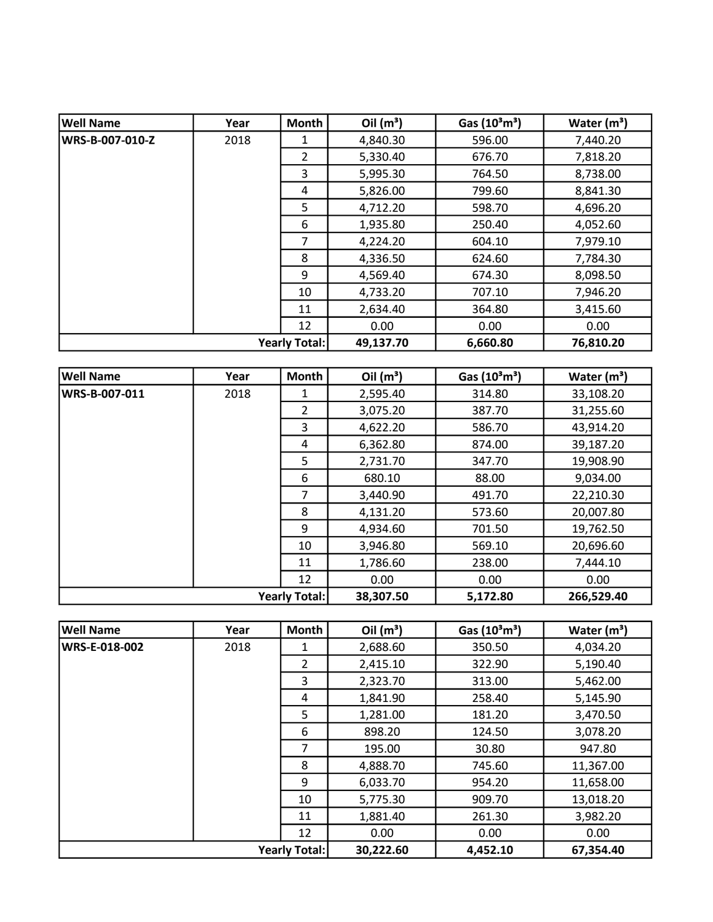| <b>Well Name</b>     | Year | <b>Month</b> | Oil $(m^3)$ | Gas (10 <sup>3</sup> m <sup>3</sup> ) | Water $(m^3)$ |
|----------------------|------|--------------|-------------|---------------------------------------|---------------|
| WRS-B-007-010-Z      | 2018 | 1            | 4,840.30    | 596.00                                | 7,440.20      |
|                      |      | 2            | 5,330.40    | 676.70                                | 7,818.20      |
|                      |      | 3            | 5,995.30    | 764.50                                | 8,738.00      |
|                      |      | 4            | 5,826.00    | 799.60                                | 8,841.30      |
|                      |      | 5            | 4,712.20    | 598.70                                | 4,696.20      |
|                      |      | 6            | 1,935.80    | 250.40                                | 4,052.60      |
|                      |      | 7            | 4,224.20    | 604.10                                | 7,979.10      |
|                      |      | 8            | 4,336.50    | 624.60                                | 7,784.30      |
|                      |      | 9            | 4,569.40    | 674.30                                | 8,098.50      |
|                      |      | 10           | 4,733.20    | 707.10                                | 7,946.20      |
|                      |      | 11           | 2,634.40    | 364.80                                | 3,415.60      |
|                      |      | 12           | 0.00        | 0.00                                  | 0.00          |
| <b>Yearly Total:</b> |      |              | 49,137.70   | 6,660.80                              | 76,810.20     |

| <b>Well Name</b>     | Year | Month         | Oil $(m^3)$ | Gas $(10^3 \text{m}^3)$ | Water $(m^3)$ |
|----------------------|------|---------------|-------------|-------------------------|---------------|
| <b>WRS-B-007-011</b> | 2018 | 1             | 2,595.40    | 314.80                  | 33,108.20     |
|                      |      | $\mathcal{P}$ | 3,075.20    | 387.70                  | 31,255.60     |
|                      |      | 3             | 4,622.20    | 586.70                  | 43,914.20     |
|                      |      | 4             | 6,362.80    | 874.00                  | 39,187.20     |
|                      |      | 5             | 2,731.70    | 347.70                  | 19,908.90     |
|                      |      | 6             | 680.10      | 88.00                   | 9,034.00      |
|                      |      | 7             | 3,440.90    | 491.70                  | 22,210.30     |
|                      |      | 8             | 4,131.20    | 573.60                  | 20,007.80     |
|                      |      | 9             | 4,934.60    | 701.50                  | 19,762.50     |
|                      |      | 10            | 3,946.80    | 569.10                  | 20,696.60     |
|                      |      | 11            | 1,786.60    | 238.00                  | 7,444.10      |
|                      |      | 12            | 0.00        | 0.00                    | 0.00          |
| <b>Yearly Total:</b> |      |               | 38,307.50   | 5,172.80                | 266,529.40    |

| <b>Well Name</b>     | Year | Month          | Oil $(m^3)$ | Gas $(10^3 \text{m}^3)$ | Water $(m^3)$ |
|----------------------|------|----------------|-------------|-------------------------|---------------|
| <b>WRS-E-018-002</b> | 2018 | 1              | 2,688.60    | 350.50                  | 4,034.20      |
|                      |      | $\overline{2}$ | 2,415.10    | 322.90                  | 5,190.40      |
|                      |      | 3              | 2,323.70    | 313.00                  | 5,462.00      |
|                      |      | 4              | 1,841.90    | 258.40                  | 5,145.90      |
|                      |      | 5              | 1,281.00    | 181.20                  | 3,470.50      |
|                      |      | 6              | 898.20      | 124.50                  | 3,078.20      |
|                      |      | $\overline{7}$ | 195.00      | 30.80                   | 947.80        |
|                      |      | 8              | 4,888.70    | 745.60                  | 11,367.00     |
|                      |      | 9              | 6,033.70    | 954.20                  | 11,658.00     |
|                      |      | 10             | 5,775.30    | 909.70                  | 13,018.20     |
|                      |      | 11             | 1,881.40    | 261.30                  | 3,982.20      |
|                      |      | 12             | 0.00        | 0.00                    | 0.00          |
| <b>Yearly Total:</b> |      |                | 30,222.60   | 4,452.10                | 67,354.40     |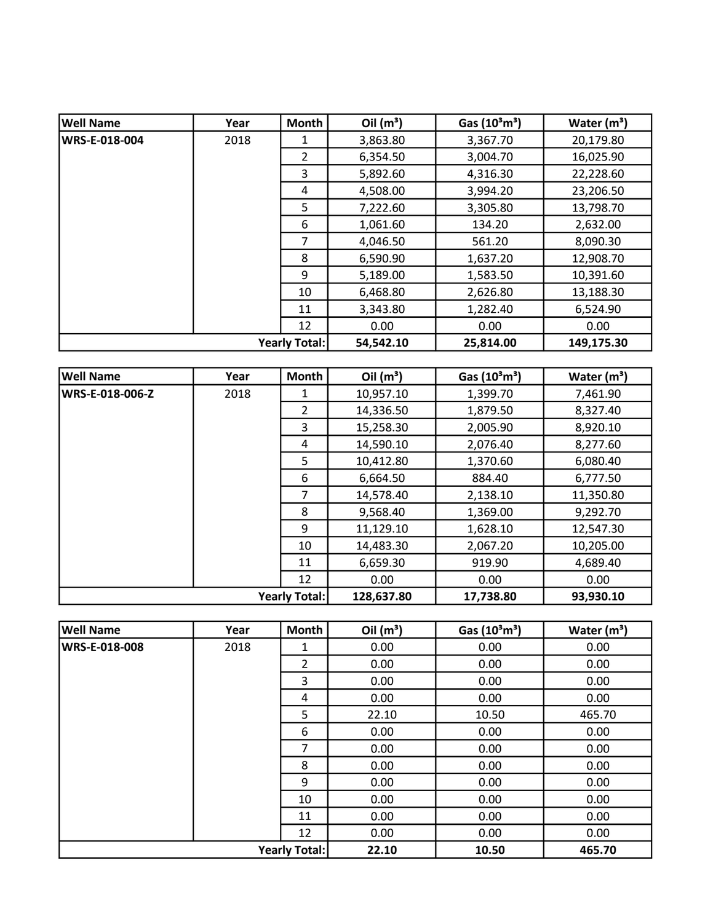| <b>Well Name</b>     | Year | <b>Month</b> | Oil $(m^3)$ | Gas $(10^3 \text{m}^3)$ | Water $(m^3)$ |
|----------------------|------|--------------|-------------|-------------------------|---------------|
| WRS-E-018-004        | 2018 | 1            | 3,863.80    | 3,367.70                | 20,179.80     |
|                      |      | 2            | 6,354.50    | 3,004.70                | 16,025.90     |
|                      |      | 3            | 5,892.60    | 4,316.30                | 22,228.60     |
|                      |      | 4            | 4,508.00    | 3,994.20                | 23,206.50     |
|                      |      | 5            | 7,222.60    | 3,305.80                | 13,798.70     |
|                      |      | 6            | 1,061.60    | 134.20                  | 2,632.00      |
|                      |      | 7            | 4,046.50    | 561.20                  | 8,090.30      |
|                      |      | 8            | 6,590.90    | 1,637.20                | 12,908.70     |
|                      |      | 9            | 5,189.00    | 1,583.50                | 10,391.60     |
|                      |      | 10           | 6,468.80    | 2,626.80                | 13,188.30     |
|                      |      | 11           | 3,343.80    | 1,282.40                | 6,524.90      |
|                      |      | 12           | 0.00        | 0.00                    | 0.00          |
| <b>Yearly Total:</b> |      |              | 54,542.10   | 25,814.00               | 149,175.30    |

| <b>Well Name</b>     | Year | <b>Month</b> | Oil $(m^3)$ | Gas $(10^3 \text{m}^3)$ | Water $(m^3)$ |
|----------------------|------|--------------|-------------|-------------------------|---------------|
| WRS-E-018-006-Z      | 2018 | 1            | 10,957.10   | 1,399.70                | 7,461.90      |
|                      |      | 2            | 14,336.50   | 1,879.50                | 8,327.40      |
|                      |      | 3            | 15,258.30   | 2,005.90                | 8,920.10      |
|                      |      | 4            | 14,590.10   | 2,076.40                | 8,277.60      |
|                      |      | 5            | 10,412.80   | 1,370.60                | 6,080.40      |
|                      |      | 6            | 6,664.50    | 884.40                  | 6,777.50      |
|                      |      | 7            | 14,578.40   | 2,138.10                | 11,350.80     |
|                      |      | 8            | 9,568.40    | 1,369.00                | 9,292.70      |
|                      |      | 9            | 11,129.10   | 1,628.10                | 12,547.30     |
|                      |      | 10           | 14,483.30   | 2,067.20                | 10,205.00     |
|                      |      | 11           | 6,659.30    | 919.90                  | 4,689.40      |
|                      |      | 12           | 0.00        | 0.00                    | 0.00          |
| <b>Yearly Total:</b> |      |              | 128,637.80  | 17,738.80               | 93,930.10     |

| <b>Well Name</b>     | Year | Month          | Oil $(m^3)$ | Gas $(10^3 \text{m}^3)$ | Water $(m^3)$ |
|----------------------|------|----------------|-------------|-------------------------|---------------|
| <b>WRS-E-018-008</b> | 2018 | 1              | 0.00        | 0.00                    | 0.00          |
|                      |      | $\overline{2}$ | 0.00        | 0.00                    | 0.00          |
|                      |      | 3              | 0.00        | 0.00                    | 0.00          |
|                      |      | 4              | 0.00        | 0.00                    | 0.00          |
|                      |      | 5              | 22.10       | 10.50                   | 465.70        |
|                      |      | 6              | 0.00        | 0.00                    | 0.00          |
|                      |      | $\overline{7}$ | 0.00        | 0.00                    | 0.00          |
|                      |      | 8              | 0.00        | 0.00                    | 0.00          |
|                      |      | 9              | 0.00        | 0.00                    | 0.00          |
|                      |      | 10             | 0.00        | 0.00                    | 0.00          |
|                      |      | 11             | 0.00        | 0.00                    | 0.00          |
|                      |      | 12             | 0.00        | 0.00                    | 0.00          |
| <b>Yearly Total:</b> |      |                | 22.10       | 10.50                   | 465.70        |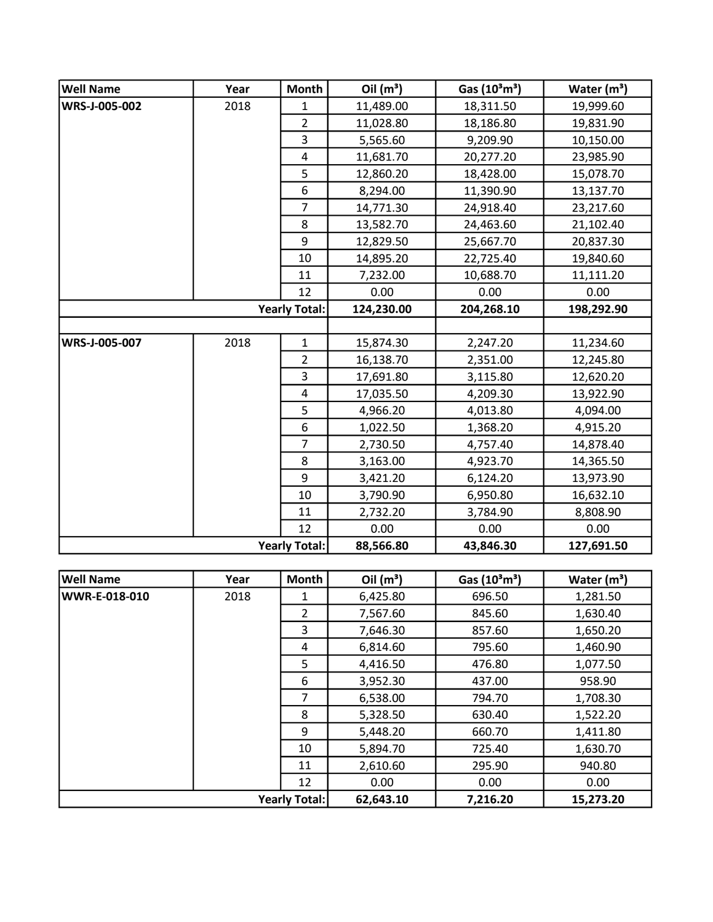| <b>Well Name</b> | Year | Month                | Oil $(m^3)$ | Gas (10 <sup>3</sup> m <sup>3</sup> ) | Water $(m3)$            |
|------------------|------|----------------------|-------------|---------------------------------------|-------------------------|
| WRS-J-005-002    | 2018 | 1                    | 11,489.00   | 18,311.50                             | 19,999.60               |
|                  |      | $\overline{2}$       | 11,028.80   | 18,186.80                             | 19,831.90               |
|                  |      | 3                    | 5,565.60    | 9,209.90                              | 10,150.00               |
|                  |      | 4                    | 11,681.70   | 20,277.20                             | 23,985.90               |
|                  |      | 5                    | 12,860.20   | 18,428.00                             | 15,078.70               |
|                  |      | 6                    | 8,294.00    | 11,390.90                             | 13,137.70               |
|                  |      | $\overline{7}$       | 14,771.30   | 24,918.40                             | 23,217.60               |
|                  |      | 8                    | 13,582.70   | 24,463.60                             | 21,102.40               |
|                  |      | 9                    | 12,829.50   | 25,667.70                             | 20,837.30               |
|                  |      | 10                   | 14,895.20   | 22,725.40                             | 19,840.60               |
|                  |      | 11                   | 7,232.00    | 10,688.70                             | 11,111.20               |
|                  |      | 12                   | 0.00        | 0.00                                  | 0.00                    |
|                  |      | <b>Yearly Total:</b> | 124,230.00  | 204,268.10                            | 198,292.90              |
|                  |      |                      |             |                                       |                         |
| WRS-J-005-007    | 2018 | $\mathbf{1}$         | 15,874.30   | 2,247.20                              | 11,234.60               |
|                  |      | $\overline{2}$       | 16,138.70   | 2,351.00                              | 12,245.80               |
|                  |      | 3                    | 17,691.80   | 3,115.80                              | 12,620.20               |
|                  |      | 4                    | 17,035.50   | 4,209.30                              | 13,922.90               |
|                  |      | 5                    | 4,966.20    | 4,013.80                              | 4,094.00                |
|                  |      | 6                    | 1,022.50    | 1,368.20                              | 4,915.20                |
|                  |      | $\overline{7}$       | 2,730.50    | 4,757.40                              | 14,878.40               |
|                  |      | 8                    | 3,163.00    | 4,923.70                              | 14,365.50               |
|                  |      | 9                    | 3,421.20    | 6,124.20                              | 13,973.90               |
|                  |      | 10                   | 3,790.90    | 6,950.80                              | 16,632.10               |
|                  |      | 11                   | 2,732.20    | 3,784.90                              | 8,808.90                |
|                  |      | 12                   | 0.00        | 0.00                                  | 0.00                    |
|                  |      | <b>Yearly Total:</b> | 88,566.80   | 43,846.30                             | 127,691.50              |
|                  |      |                      |             |                                       |                         |
| <b>Well Name</b> | Year | Month                | Oil $(m^3)$ | Gas (10 <sup>3</sup> m <sup>3</sup> ) | Water (m <sup>3</sup> ) |
| WWR-E-018-010    | 2018 | 1                    | 6,425.80    | 696.50                                | 1,281.50                |
|                  |      | $\overline{2}$       | 7,567.60    | 845.60                                | 1,630.40                |
|                  |      | 3                    | 7,646.30    | 857.60                                | 1,650.20                |
|                  |      | 4                    | 6,814.60    | 795.60                                | 1,460.90                |
|                  |      | 5                    | 4,416.50    | 476.80                                | 1,077.50                |
|                  |      | 6                    | 3,952.30    | 437.00                                | 958.90                  |
|                  |      | $\overline{7}$       | 6,538.00    | 794.70                                | 1,708.30                |
|                  |      | 8                    | 5,328.50    | 630.40                                | 1,522.20                |
|                  |      | 9                    | 5,448.20    | 660.70                                | 1,411.80                |

11 2,610.60

**Yearly Total:**

10 5,894.70 725.40 1,630.70<br>11 2,610.60 295.90 940.80

**62,643.10 7,216.20 15,273.20**

12 0.00 0.00 0.00